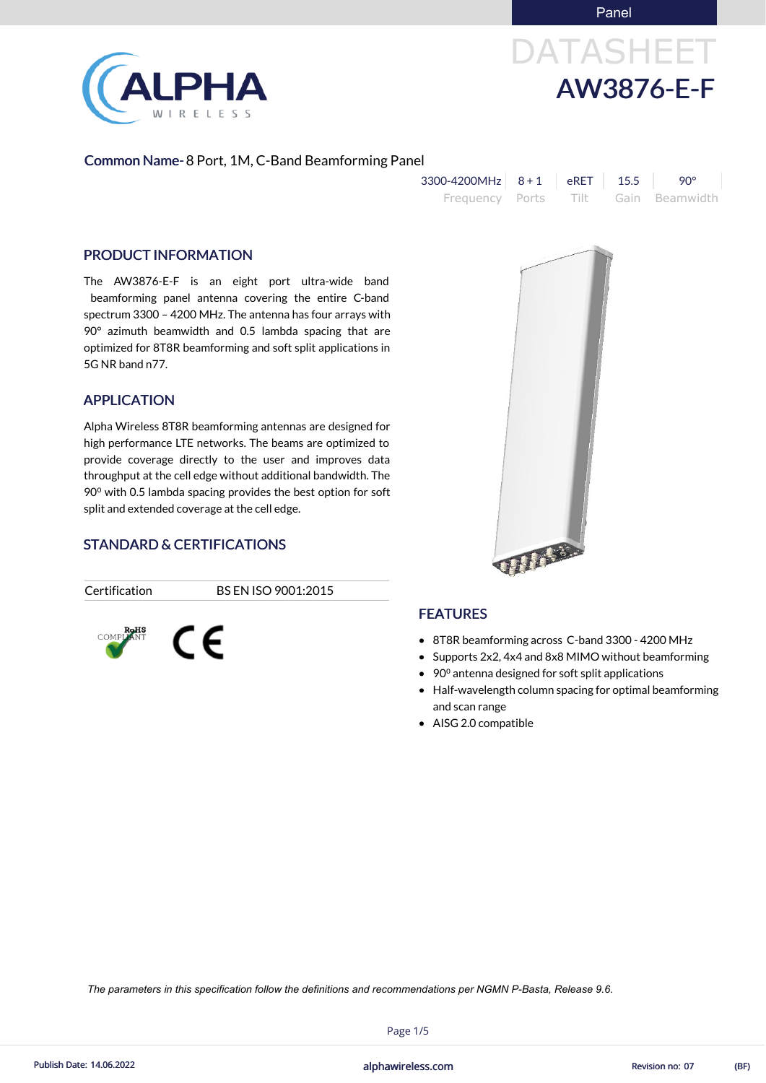Panel

# DATASHEET AW3876-E-F



#### Common Name- 8 Port, 1M, C-Band Beamforming Panel

| $3300 - 4200$ MHz $8 + 1$ eRET 15.5 |  | <b>90°</b>                          |
|-------------------------------------|--|-------------------------------------|
|                                     |  | Frequency Ports Tilt Gain Beamwidth |

#### PRODUCT INFORMATION

The AW3876-E-F is an eight port ultra-wide band beamforming panel antenna covering the entire C-band spectrum 3300 – 4200 MHz. The antenna has four arrays with 90° azimuth beamwidth and 0.5 lambda spacing that are optimized for 8T8R beamforming and soft split applications in 5G NR band n77.

#### APPLICATION

- 8T8R beamforming across C-band 3300 4200 MHz
- Supports 2x2, 4x4 and 8x8 MIMO without beamforming
- 90<sup>°</sup> antenna designed for soft split applications
- Half-wavelength column spacing for optimal beamforming and scan range
- AISG 2.0 compatible



Alpha Wireless 8T8R beamforming antennas are designed for high performance LTE networks. The beams are optimized to provide coverage directly to the user and improves data throughput at the cell edge without additional bandwidth. The 90<sup>o</sup> with 0.5 lambda spacing provides the best option for soft split and extended coverage at the cell edge.

# STANDARD & CERTIFICATIONS

CE.



Certification BS EN ISO 9001:2015



## FEATURES

Page 1/5

alphawireless.com Publish Date: 14.06.2022 Revision no: 07 (BF)

*The parameters in this specification follow the definitions and recommendations per NGMN P-Basta, Release 9.6.*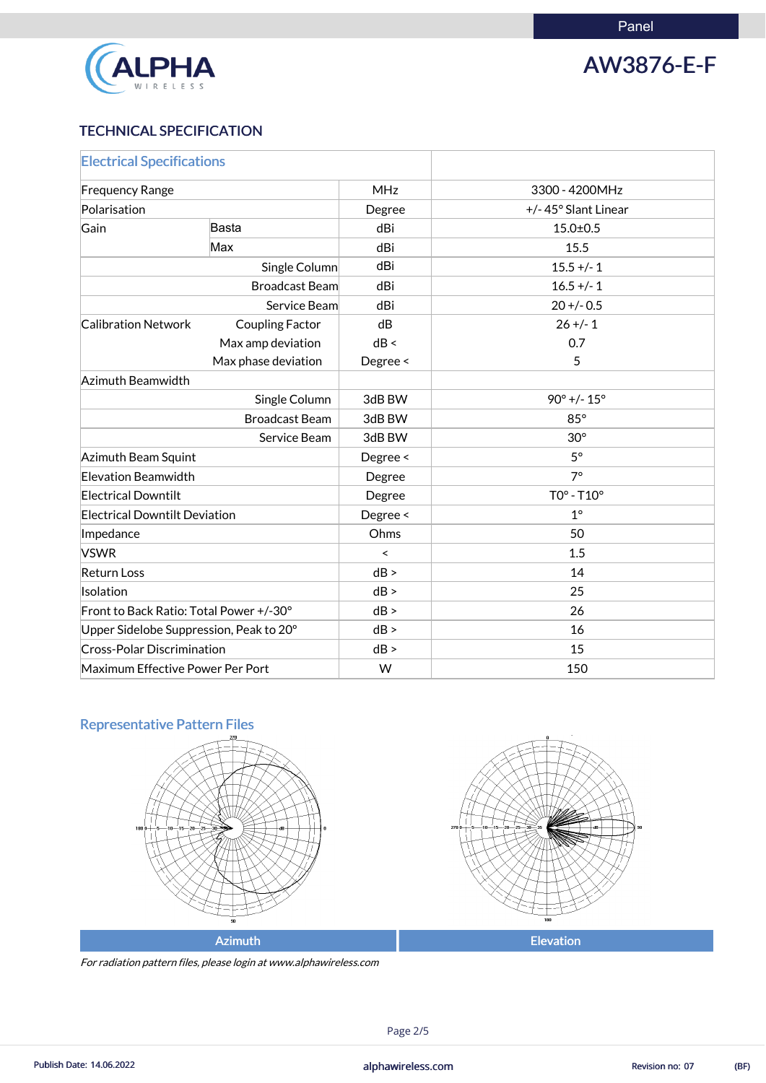

AW3876-E-F

# TECHNICAL SPECIFICATION

| <b>Electrical Specifications</b>        |                        |                          |                               |
|-----------------------------------------|------------------------|--------------------------|-------------------------------|
| <b>Frequency Range</b>                  |                        | <b>MHz</b>               | 3300 - 4200MHz                |
| Polarisation                            |                        | Degree                   | +/-45° Slant Linear           |
| Gain                                    | <b>Basta</b>           | dBi                      | $15.0 \pm 0.5$                |
|                                         | Max                    | dBi                      | 15.5                          |
|                                         | Single Column          | dBi                      | $15.5 +/- 1$                  |
|                                         | <b>Broadcast Beam</b>  | dBi                      | $16.5 +/- 1$                  |
|                                         | Service Beam           | dBi                      | $20 + (-0.5)$                 |
| <b>Calibration Network</b>              | <b>Coupling Factor</b> | dB                       | $26 + (-1)$                   |
|                                         | Max amp deviation      | dB <                     | 0.7                           |
|                                         | Max phase deviation    | Degree <                 | 5                             |
| Azimuth Beamwidth                       |                        |                          |                               |
|                                         | Single Column          | 3dB BW                   | $90^{\circ}$ +/- $15^{\circ}$ |
|                                         | <b>Broadcast Beam</b>  | 3dB BW                   | $85^\circ$                    |
| Service Beam                            |                        | 3dB BW                   | $30^\circ$                    |
| Azimuth Beam Squint                     |                        | Degree <                 | $5^{\circ}$                   |
| <b>Elevation Beamwidth</b>              |                        | Degree                   | $7^\circ$                     |
| <b>Electrical Downtilt</b>              |                        | Degree                   | $TO° - T10°$                  |
| <b>Electrical Downtilt Deviation</b>    |                        | Degree <                 | $1^\circ$                     |
| Impedance                               |                        | Ohms                     | 50                            |
| <b>VSWR</b>                             |                        | $\overline{\phantom{0}}$ | 1.5                           |
| <b>Return Loss</b>                      |                        | dB >                     | 14                            |
| Isolation                               |                        | dB >                     | 25                            |
| Front to Back Ratio: Total Power +/-30° |                        | dB >                     | 26                            |
| Upper Sidelobe Suppression, Peak to 20° |                        | dB >                     | 16                            |
| <b>Cross-Polar Discrimination</b>       |                        | dB >                     | 15                            |
| Maximum Effective Power Per Port        |                        | W                        | 150                           |

# Representative Pattern Files





For radiation pattern files, please login at www.alphawireless.com

## Page 2/5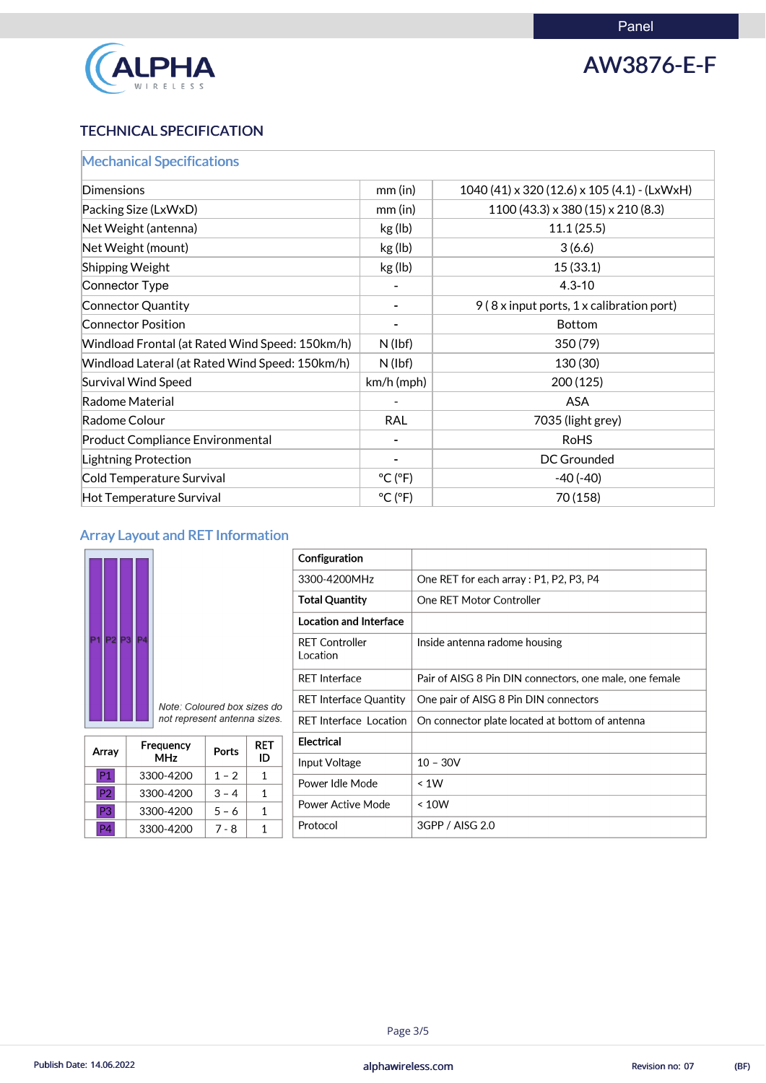

# AW3876-E-F

# TECHNICAL SPECIFICATION

| <b>Mechanical Specifications</b>                |                              |                                                       |
|-------------------------------------------------|------------------------------|-------------------------------------------------------|
| <b>Dimensions</b>                               | $mm$ (in)                    | $1040(41) \times 320(12.6) \times 105(4.1)$ - (LxWxH) |
| Packing Size (LxWxD)                            | $mm$ (in)                    | $1100(43.3) \times 380(15) \times 210(8.3)$           |
| Net Weight (antenna)                            | kg (lb)                      | 11.1(25.5)                                            |
| Net Weight (mount)                              | kg (lb)                      | 3(6.6)                                                |
| <b>Shipping Weight</b>                          | kg (lb)                      | 15(33.1)                                              |
| Connector Type                                  |                              | $4.3 - 10$                                            |
| Connector Quantity                              |                              | 9 (8 x input ports, 1 x calibration port)             |
| <b>Connector Position</b>                       |                              | <b>Bottom</b>                                         |
| Windload Frontal (at Rated Wind Speed: 150km/h) | $N$ (lbf)                    | 350(79)                                               |
| Windload Lateral (at Rated Wind Speed: 150km/h) | $N$ (lbf)                    | 130 (30)                                              |
| <b>Survival Wind Speed</b>                      | $km/h$ (mph)                 | 200 (125)                                             |
| Radome Material                                 |                              | <b>ASA</b>                                            |
| Radome Colour                                   | <b>RAL</b>                   | 7035 (light grey)                                     |
| <b>Product Compliance Environmental</b>         |                              | <b>RoHS</b>                                           |
| <b>Lightning Protection</b>                     |                              | DC Grounded                                           |
| Cold Temperature Survival                       | $^{\circ}$ C ( $^{\circ}$ F) | $-40(-40)$                                            |
| <b>Hot Temperature Survival</b>                 | $^{\circ}$ C ( $^{\circ}$ F) | 70 (158)                                              |

# Array Layout and RET Information

| P <sub>4</sub><br>P3<br>P2 | Note: Coloured box sizes do  |
|----------------------------|------------------------------|
|                            | not represent antenna sizes. |

Array

 $P1$ 

 $P<sub>2</sub>$ 

P<sub>3</sub>

| Configuration                     |                                                         |
|-----------------------------------|---------------------------------------------------------|
| 3300-4200MHz                      | One RET for each array : P1, P2, P3, P4                 |
| <b>Total Quantity</b>             | One RET Motor Controller                                |
| <b>Location and Interface</b>     |                                                         |
| <b>RET Controller</b><br>Location | Inside antenna radome housing                           |
| <b>RET Interface</b>              | Pair of AISG 8 Pin DIN connectors, one male, one female |
| <b>RET Interface Quantity</b>     | One pair of AISG 8 Pin DIN connectors                   |
| <b>RET Interface Location</b>     | On connector plate located at bottom of antenna         |
| <b>Electrical</b>                 |                                                         |
| Input Voltage                     | $10 - 30V$                                              |
| Power Idle Mode                   | $\leq 1W$                                               |
| <b>Power Active Mode</b>          | < 10W                                                   |

|  | 3300-4200 |  |  |  | . . |
|--|-----------|--|--|--|-----|
|--|-----------|--|--|--|-----|

Frequency

**MHz** 

3300-4200

3300-4200

3300-4200

**RET** 

ID

 $\mathbf{1}$ 

 $\mathbf{1}$ 

 $\mathbf{1}$ 

Ports

 $1 - 2$ 

 $3 - 4$ 

 $5 - 6$ 



Page 3/5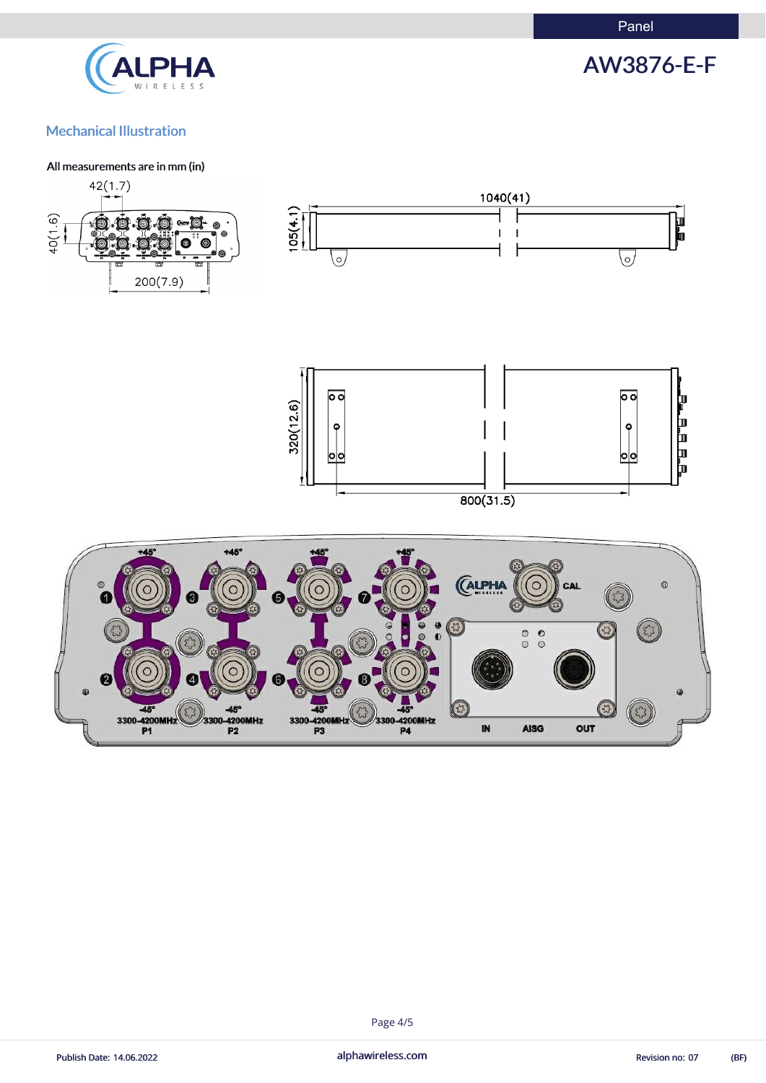Panel



# AW3876-E-F

# Mechanical Illustration

#### All measurements are in mm (in)







#### Page 4/5